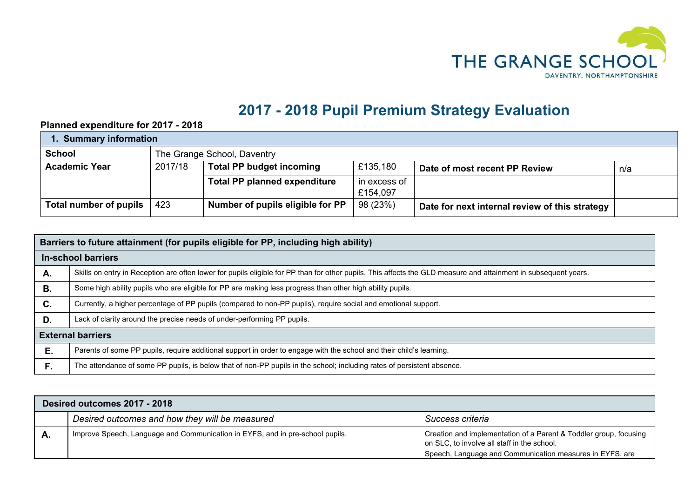

## **2017 - 2018 Pupil Premium Strategy Evaluation**

## **Planned expenditure for 2017 - 2018**

| 1. Summary information |                             |                                                                                     |              |                                                |  |  |  |
|------------------------|-----------------------------|-------------------------------------------------------------------------------------|--------------|------------------------------------------------|--|--|--|
| <b>School</b>          | The Grange School, Daventry |                                                                                     |              |                                                |  |  |  |
| <b>Academic Year</b>   | 2017/18                     | £135,180<br><b>Total PP budget incoming</b><br>Date of most recent PP Review<br>n/a |              |                                                |  |  |  |
|                        |                             | <b>Total PP planned expenditure</b>                                                 | in excess of |                                                |  |  |  |
|                        |                             |                                                                                     | £154,097     |                                                |  |  |  |
| Total number of pupils | 423                         | Number of pupils eligible for PP                                                    | 98 (23%)     | Date for next internal review of this strategy |  |  |  |

|    | Barriers to future attainment (for pupils eligible for PP, including high ability)                                                                              |  |  |  |  |  |
|----|-----------------------------------------------------------------------------------------------------------------------------------------------------------------|--|--|--|--|--|
|    | <b>In-school barriers</b>                                                                                                                                       |  |  |  |  |  |
| А. | Skills on entry in Reception are often lower for pupils eligible for PP than for other pupils. This affects the GLD measure and attainment in subsequent years. |  |  |  |  |  |
| В. | Some high ability pupils who are eligible for PP are making less progress than other high ability pupils.                                                       |  |  |  |  |  |
| C. | Currently, a higher percentage of PP pupils (compared to non-PP pupils), require social and emotional support.                                                  |  |  |  |  |  |
| D. | Lack of clarity around the precise needs of under-performing PP pupils.                                                                                         |  |  |  |  |  |
|    | <b>External barriers</b>                                                                                                                                        |  |  |  |  |  |
| Е. | Parents of some PP pupils, require additional support in order to engage with the school and their child's learning.                                            |  |  |  |  |  |
| F. | The attendance of some PP pupils, is below that of non-PP pupils in the school; including rates of persistent absence.                                          |  |  |  |  |  |

| Desired outcomes 2017 - 2018 |                                                                               |                                                                                                                                                                              |  |  |  |  |
|------------------------------|-------------------------------------------------------------------------------|------------------------------------------------------------------------------------------------------------------------------------------------------------------------------|--|--|--|--|
|                              | Desired outcomes and how they will be measured                                | Success criteria                                                                                                                                                             |  |  |  |  |
| А.                           | Improve Speech, Language and Communication in EYFS, and in pre-school pupils. | Creation and implementation of a Parent & Toddler group, focusing<br>on SLC, to involve all staff in the school.<br>Speech, Language and Communication measures in EYFS, are |  |  |  |  |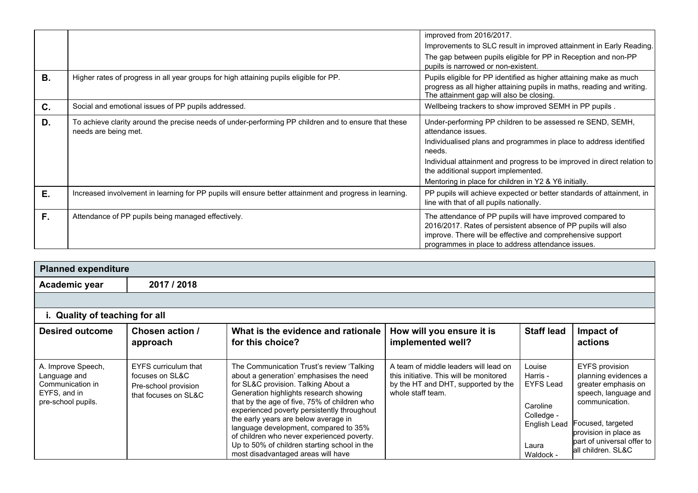| <b>B.</b> | Higher rates of progress in all year groups for high attaining pupils eligible for PP.                                       | improved from 2016/2017.<br>Improvements to SLC result in improved attainment in Early Reading.<br>The gap between pupils eligible for PP in Reception and non-PP<br>pupils is narrowed or non-existent.<br>Pupils eligible for PP identified as higher attaining make as much<br>progress as all higher attaining pupils in maths, reading and writing. |
|-----------|------------------------------------------------------------------------------------------------------------------------------|----------------------------------------------------------------------------------------------------------------------------------------------------------------------------------------------------------------------------------------------------------------------------------------------------------------------------------------------------------|
| C.        | Social and emotional issues of PP pupils addressed.                                                                          | The attainment gap will also be closing.<br>Wellbeing trackers to show improved SEMH in PP pupils.                                                                                                                                                                                                                                                       |
|           |                                                                                                                              |                                                                                                                                                                                                                                                                                                                                                          |
| D.        | To achieve clarity around the precise needs of under-performing PP children and to ensure that these<br>needs are being met. | Under-performing PP children to be assessed re SEND, SEMH,<br>attendance issues.<br>Individualised plans and programmes in place to address identified<br>needs.<br>Individual attainment and progress to be improved in direct relation to<br>the additional support implemented.<br>Mentoring in place for children in Y2 & Y6 initially.              |
| Е.        | Increased involvement in learning for PP pupils will ensure better attainment and progress in learning.                      | PP pupils will achieve expected or better standards of attainment, in<br>line with that of all pupils nationally.                                                                                                                                                                                                                                        |
| F.        | Attendance of PP pupils being managed effectively.                                                                           | The attendance of PP pupils will have improved compared to<br>2016/2017. Rates of persistent absence of PP pupils will also<br>improve. There will be effective and comprehensive support<br>programmes in place to address attendance issues.                                                                                                           |

| <b>Planned expenditure</b>                                                                   |                                                                                                |                                                                                                                                                                                                                                                                                                                                                                                                                                                                                           |                                                                                                                                              |                                                                                                        |                                                                                                                                                                                                            |  |
|----------------------------------------------------------------------------------------------|------------------------------------------------------------------------------------------------|-------------------------------------------------------------------------------------------------------------------------------------------------------------------------------------------------------------------------------------------------------------------------------------------------------------------------------------------------------------------------------------------------------------------------------------------------------------------------------------------|----------------------------------------------------------------------------------------------------------------------------------------------|--------------------------------------------------------------------------------------------------------|------------------------------------------------------------------------------------------------------------------------------------------------------------------------------------------------------------|--|
| Academic year                                                                                | 2017 / 2018                                                                                    |                                                                                                                                                                                                                                                                                                                                                                                                                                                                                           |                                                                                                                                              |                                                                                                        |                                                                                                                                                                                                            |  |
|                                                                                              |                                                                                                |                                                                                                                                                                                                                                                                                                                                                                                                                                                                                           |                                                                                                                                              |                                                                                                        |                                                                                                                                                                                                            |  |
| i. Quality of teaching for all                                                               |                                                                                                |                                                                                                                                                                                                                                                                                                                                                                                                                                                                                           |                                                                                                                                              |                                                                                                        |                                                                                                                                                                                                            |  |
| <b>Desired outcome</b>                                                                       | Chosen action /<br>approach                                                                    | What is the evidence and rationale<br>for this choice?                                                                                                                                                                                                                                                                                                                                                                                                                                    | How will you ensure it is<br>implemented well?                                                                                               | <b>Staff lead</b>                                                                                      | Impact of<br>actions                                                                                                                                                                                       |  |
| A. Improve Speech,<br>Language and<br>Communication in<br>EYFS, and in<br>pre-school pupils. | <b>EYFS</b> curriculum that<br>focuses on SL&C<br>Pre-school provision<br>that focuses on SL&C | The Communication Trust's review 'Talking<br>about a generation' emphasises the need<br>for SL&C provision. Talking About a<br>Generation highlights research showing<br>that by the age of five, 75% of children who<br>experienced poverty persistently throughout<br>the early years are below average in<br>language development, compared to 35%<br>of children who never experienced poverty.<br>Up to 50% of children starting school in the<br>most disadvantaged areas will have | A team of middle leaders will lead on<br>this initiative. This will be monitored<br>by the HT and DHT, supported by the<br>whole staff team. | Louise<br>Harris -<br><b>EYFS Lead</b><br>Caroline<br>Colledge -<br>English Lead<br>Laura<br>Waldock - | EYFS provision<br>planning evidences a<br>greater emphasis on<br>speech, language and<br>communication.<br>Focused, targeted<br>provision in place as<br>bart of universal offer to<br>lall children. SL&C |  |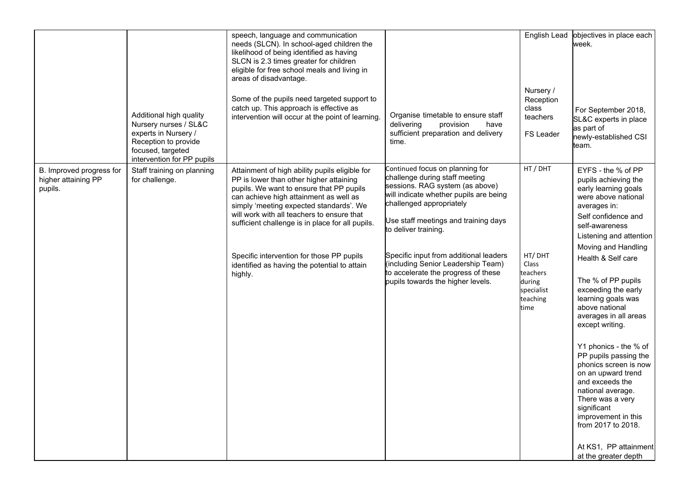|                                                            | Additional high quality<br>Nursery nurses / SL&C<br>experts in Nursery /<br>Reception to provide<br>focused, targeted<br>intervention for PP pupils | speech, language and communication<br>needs (SLCN). In school-aged children the<br>likelihood of being identified as having<br>SLCN is 2.3 times greater for children<br>eligible for free school meals and living in<br>areas of disadvantage.<br>Some of the pupils need targeted support to<br>catch up. This approach is effective as<br>intervention will occur at the point of learning.                                       | Organise timetable to ensure staff<br>delivering<br>provision<br>have<br>sufficient preparation and delivery<br>time.                                                                                                                                                                                                                                                                                  | English Lead<br>Nursery /<br>Reception<br>class<br>teachers<br>FS Leader            | objectives in place each<br>week.<br>For September 2018,<br>SL&C experts in place<br>as part of<br>newly-established CSI<br>team.                                                                                                                                                                                                                                                                                                                                                                                                                                                                                                     |
|------------------------------------------------------------|-----------------------------------------------------------------------------------------------------------------------------------------------------|--------------------------------------------------------------------------------------------------------------------------------------------------------------------------------------------------------------------------------------------------------------------------------------------------------------------------------------------------------------------------------------------------------------------------------------|--------------------------------------------------------------------------------------------------------------------------------------------------------------------------------------------------------------------------------------------------------------------------------------------------------------------------------------------------------------------------------------------------------|-------------------------------------------------------------------------------------|---------------------------------------------------------------------------------------------------------------------------------------------------------------------------------------------------------------------------------------------------------------------------------------------------------------------------------------------------------------------------------------------------------------------------------------------------------------------------------------------------------------------------------------------------------------------------------------------------------------------------------------|
| B. Improved progress for<br>higher attaining PP<br>pupils. | Staff training on planning<br>for challenge.                                                                                                        | Attainment of high ability pupils eligible for<br>PP is lower than other higher attaining<br>pupils. We want to ensure that PP pupils<br>can achieve high attainment as well as<br>simply 'meeting expected standards'. We<br>will work with all teachers to ensure that<br>sufficient challenge is in place for all pupils.<br>Specific intervention for those PP pupils<br>identified as having the potential to attain<br>highly. | Continued focus on planning for<br>challenge during staff meeting<br>sessions. RAG system (as above)<br>will indicate whether pupils are being<br>challenged appropriately<br>Use staff meetings and training days<br>to deliver training.<br>Specific input from additional leaders<br>(including Senior Leadership Team)<br>to accelerate the progress of these<br>pupils towards the higher levels. | HT / DHT<br>HT/DHT<br>Class<br>teachers<br>during<br>specialist<br>teaching<br>time | EYFS - the % of PP<br>pupils achieving the<br>early learning goals<br>were above national<br>averages in:<br>Self confidence and<br>self-awareness<br>Listening and attention<br>Moving and Handling<br>Health & Self care<br>The % of PP pupils<br>exceeding the early<br>learning goals was<br>above national<br>averages in all areas<br>except writing.<br>Y1 phonics - the % of<br>PP pupils passing the<br>phonics screen is now<br>on an upward trend<br>and exceeds the<br>national average.<br>There was a very<br>significant<br>improvement in this<br>from 2017 to 2018.<br>At KS1, PP attainment<br>at the greater depth |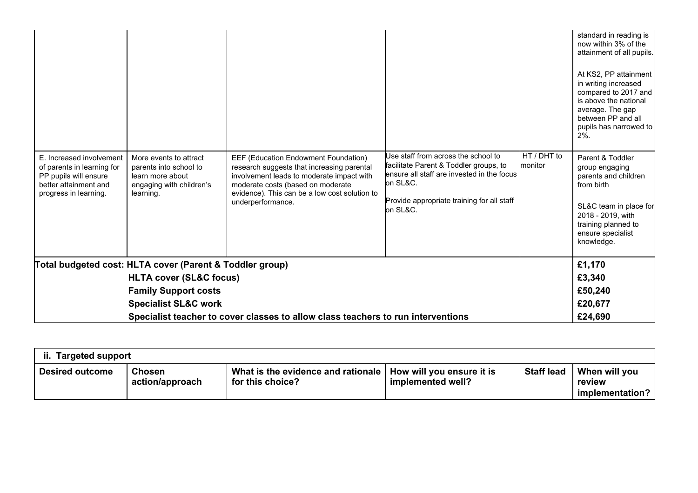|                                                                                                                                   |                                                                                                               |                                                                                                                                                                                                                                            |                                                                                                                                                                                                    |                        | standard in reading is<br>now within 3% of the<br>attainment of all pupils.<br>At KS2, PP attainment<br>in writing increased<br>compared to 2017 and<br>is above the national<br>average. The gap<br>between PP and all<br>pupils has narrowed to<br>$2%$ . |
|-----------------------------------------------------------------------------------------------------------------------------------|---------------------------------------------------------------------------------------------------------------|--------------------------------------------------------------------------------------------------------------------------------------------------------------------------------------------------------------------------------------------|----------------------------------------------------------------------------------------------------------------------------------------------------------------------------------------------------|------------------------|-------------------------------------------------------------------------------------------------------------------------------------------------------------------------------------------------------------------------------------------------------------|
| E. Increased involvement<br>of parents in learning for<br>PP pupils will ensure<br>better attainment and<br>progress in learning. | More events to attract<br>parents into school to<br>learn more about<br>engaging with children's<br>learning. | EEF (Education Endowment Foundation)<br>research suggests that increasing parental<br>involvement leads to moderate impact with<br>moderate costs (based on moderate<br>evidence). This can be a low cost solution to<br>underperformance. | Use staff from across the school to<br>facilitate Parent & Toddler groups, to<br>lensure all staff are invested in the focus<br>on SL&C.<br>Provide appropriate training for all staff<br>on SL&C. | HT / DHT to<br>monitor | Parent & Toddler<br>group engaging<br>parents and children<br>from birth<br>SL&C team in place for<br>2018 - 2019, with<br>training planned to<br>ensure specialist<br>knowledge.                                                                           |
| Total budgeted cost: HLTA cover (Parent & Toddler group)                                                                          |                                                                                                               |                                                                                                                                                                                                                                            |                                                                                                                                                                                                    |                        |                                                                                                                                                                                                                                                             |
| <b>HLTA cover (SL&amp;C focus)</b>                                                                                                |                                                                                                               |                                                                                                                                                                                                                                            |                                                                                                                                                                                                    |                        | £3,340                                                                                                                                                                                                                                                      |
| <b>Family Support costs</b>                                                                                                       |                                                                                                               |                                                                                                                                                                                                                                            |                                                                                                                                                                                                    |                        | £50,240                                                                                                                                                                                                                                                     |
|                                                                                                                                   | <b>Specialist SL&amp;C work</b>                                                                               |                                                                                                                                                                                                                                            |                                                                                                                                                                                                    |                        | £20,677                                                                                                                                                                                                                                                     |
| Specialist teacher to cover classes to allow class teachers to run interventions                                                  |                                                                                                               |                                                                                                                                                                                                                                            |                                                                                                                                                                                                    |                        |                                                                                                                                                                                                                                                             |

| <b>Targeted support</b><br>ii. |                                  |                                                        |                                                |                   |                                            |  |
|--------------------------------|----------------------------------|--------------------------------------------------------|------------------------------------------------|-------------------|--------------------------------------------|--|
| <b>Desired outcome</b>         | <b>Chosen</b><br>action/approach | What is the evidence and rationale<br>for this choice? | How will you ensure it is<br>implemented well? | <b>Staff lead</b> | When will you<br>review<br>implementation? |  |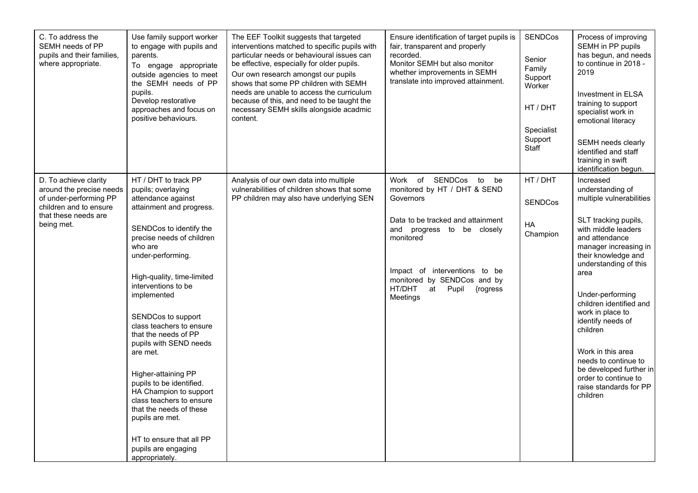| C. To address the<br>SEMH needs of PP<br>pupils and their families,<br>where appropriate.                                                   | Use family support worker<br>to engage with pupils and<br>parents.<br>To engage appropriate<br>outside agencies to meet<br>the SEMH needs of PP<br>pupils.<br>Develop restorative<br>approaches and focus on<br>positive behaviours.                                                                                                                                                                                                                                                                                                                                                                 | The EEF Toolkit suggests that targeted<br>interventions matched to specific pupils with<br>particular needs or behavioural issues can<br>be effective, especially for older pupils.<br>Our own research amongst our pupils<br>shows that some PP children with SEMH<br>needs are unable to access the curriculum<br>because of this, and need to be taught the<br>necessary SEMH skills alongside acadmic<br>content. | Ensure identification of target pupils is<br>fair, transparent and properly<br>recorded.<br>Monitor SEMH but also monitor<br>whether improvements in SEMH<br>translate into improved attainment.                                                                                | <b>SENDCos</b><br>Senior<br>Family<br>Support<br>Worker<br>HT / DHT<br>Specialist<br>Support<br>Staff | Process of improving<br>SEMH in PP pupils<br>has begun, and needs<br>to continue in 2018 -<br>2019<br>Investment in ELSA<br>training to support<br>specialist work in<br>emotional literacy<br>SEMH needs clearly<br>identified and staff<br>training in swift<br>identification begun.                                                                                                                                                               |
|---------------------------------------------------------------------------------------------------------------------------------------------|------------------------------------------------------------------------------------------------------------------------------------------------------------------------------------------------------------------------------------------------------------------------------------------------------------------------------------------------------------------------------------------------------------------------------------------------------------------------------------------------------------------------------------------------------------------------------------------------------|-----------------------------------------------------------------------------------------------------------------------------------------------------------------------------------------------------------------------------------------------------------------------------------------------------------------------------------------------------------------------------------------------------------------------|---------------------------------------------------------------------------------------------------------------------------------------------------------------------------------------------------------------------------------------------------------------------------------|-------------------------------------------------------------------------------------------------------|-------------------------------------------------------------------------------------------------------------------------------------------------------------------------------------------------------------------------------------------------------------------------------------------------------------------------------------------------------------------------------------------------------------------------------------------------------|
| D. To achieve clarity<br>around the precise needs<br>of under-performing PP<br>children and to ensure<br>that these needs are<br>being met. | HT / DHT to track PP<br>pupils; overlaying<br>attendance against<br>attainment and progress.<br>SENDCos to identify the<br>precise needs of children<br>who are<br>under-performing.<br>High-quality, time-limited<br>interventions to be<br>implemented<br>SENDCos to support<br>class teachers to ensure<br>that the needs of PP<br>pupils with SEND needs<br>are met.<br>Higher-attaining PP<br>pupils to be identified.<br>HA Champion to support<br>class teachers to ensure<br>that the needs of these<br>pupils are met.<br>HT to ensure that all PP<br>pupils are engaging<br>appropriately. | Analysis of our own data into multiple<br>vulnerabilities of children shows that some<br>PP children may also have underlying SEN                                                                                                                                                                                                                                                                                     | of SENDCos<br>to<br>Work<br>be<br>monitored by HT / DHT & SEND<br>Governors<br>Data to be tracked and attainment<br>and<br>progress to be closely<br>monitored<br>Impact of interventions to be<br>monitored by SENDCos and by<br>HT/DHT<br>at<br>Pupil<br>{rogress<br>Meetings | HT / DHT<br><b>SENDCos</b><br>HA<br>Champion                                                          | Increased<br>understanding of<br>multiple vulnerabilities<br>SLT tracking pupils,<br>with middle leaders<br>and attendance<br>manager increasing in<br>their knowledge and<br>understanding of this<br>area<br>Under-performing<br>children identified and<br>work in place to<br>identify needs of<br>children<br>Work in this area<br>needs to continue to<br>be developed further in<br>order to continue to<br>raise standards for PP<br>children |